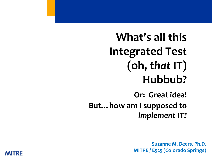# **What's all this Integrated Test (oh,** *that* **IT) Hubbub?**

**Or: Great idea! But…how am I supposed to**  *implement* **IT?** 

> **Suzanne M. Beers, Ph.D. MITRE / E525 (Colorado Springs)**

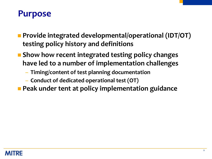### **Purpose**

- **Provide integrated developmental/operational (IDT/OT) testing policy history and definitions**
- Show how recent integrated testing policy changes **have led to a number of implementation challenges**
	- **Timing/content of test planning documentation**
	- **Conduct of dedicated operational test (OT)**
- **Peak under tent at policy implementation guidance**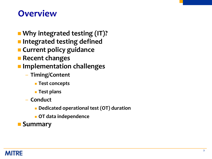### **Overview**

- **Why integrated testing (IT)?**
- **Integrated testing defined**
- **E** Current policy guidance
- **Recent changes**
- **Implementation challenges**
	- **Timing/Content**
		- **Test concepts**
		- **Test plans**
	- **Conduct**
		- **Dedicated operational test (OT) duration**
		- **OT data independence**
- **Summary**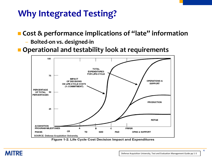# **Why Integrated Testing?**

**Cost & performance implications of "late" information**

– **Bolted-on vs. designed-in**

**Operational and testability look at requirements**



Figure 1-2. Life Cycle Cost Decision Impact and Expenditures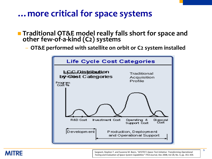### **…more critical for space systems**

- **Traditional OT&E model really falls short for space and other few-of-a-kind (C2) systems** 
	- **OT&E performed with satellite on orbit or C2 system installed**



#### **MITRE**

Sargeant, Stephen T. and Suzanne M. Beers*, "AFOTEC's Space Test Initiative: Transforming Operational Testing and Evaluation of Space System Capabilities"* ITEA Journal, Dec 2008, Vol 28, No. 4, pp. 351-359.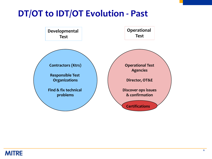### **DT/OT to IDT/OT Evolution - Past**

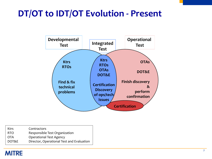# **DT/OT to IDT/OT Evolution - Present**



| <b>Ktrs</b> | Contractors                               |
|-------------|-------------------------------------------|
| RTO.        | Responsible Test Organization             |
| OTA         | <b>Operational Test Agency</b>            |
| DOT&E       | Director, Operational Test and Evaluation |

#### **MITRE**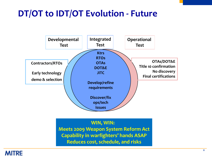# **DT/OT to IDT/OT Evolution - Future**



**WIN, WIN: Meets 2009 Weapon System Reform Act Capability in warfighters' hands ASAP Reduces cost, schedule, and risks**

#### **MITRE**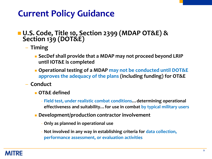# **Current Policy Guidance**

#### **U.S. Code, Title 10, Section 2399 (MDAP OT&E) & Section 139 (DOT&E)**

– **Timing**

- **SecDef shall provide that a MDAP may not proceed beyond LRIP until IOT&E is completed**
- **Operational testing of a MDAP may not be conducted until DOT&E approves the adequacy of the plans (including funding) for OT&E**
- **Conduct**
	- **OT&E defined**
		- **Field test, under realistic combat conditions…determining operational effectiveness and suitability…for use in combat by typical military users**
	- **Development/production contractor involvement**
		- **Only as planned in operational use**
		- **Not involved in any way in establishing criteria for data collection, performance assessment, or evaluation activities**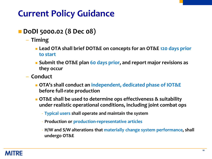# **Current Policy Guidance**

- **DoDI 5000.02 (8 Dec 08)**
	- **Timing**
		- **Lead OTA shall brief DOT&E on concepts for an OT&E 120 days prior to start**
		- **Submit the OT&E plan 60 days prior, and report major revisions as they occur**
	- **Conduct**
		- **OTA's shall conduct an independent, dedicated phase of IOT&E before full-rate production**
		- **OT&E shall be used to determine ops effectiveness & suitability under realistic operational conditions, including joint combat ops**
			- **Typical users shall operate and maintain the system**
			- **Production or production-representative articles**
			- **H/W and S/W alterations that materially change system performance, shall undergo OT&E**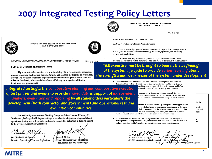### **2007 Integrated Testing Policy Letters**



OFFICE OF THE SECRETARY OF DEFENSE **WASHINGTION, DC 20301-1000** 

DEC 22 2007



OFFICE OF THE SECRETARY OF DEFENSE WASHINGTON, DC 20301



AFP 25 2009

MEMORANDUM FOR COMPONENT ACQUISITION EXECUTIVES

SUBJECT: Definition of Integrated Testing

Rigorous test and evaluation is key to the ability of the Department's acquisition process to provide the Soldiers, Sailors, Airmen, and Marines the systems on which they depend. As we strive to shorten acquisition timelines and meet performance, cost. and schedule thresholds, it is essential to achieve efficiency by integrating all testing (contractor and government).

*Integrated testing is the collaborative planning and collaborative execution of test phases and events to provide shared data in support of independent analysis, evaluation and reporting by all stakeholders particularly the development (both contractor and government) and operational test and evaluation communities*

The Reliability Improvement Working Group, established by our February 15, 2008 memo, is charged with implementing the mandate to integrate developmental and operational testing and will provide guidance to include this definition in the next update to the Defense Acquisition Guidebook.

Charle SMU

Dr. Charles E. McOueary Director, Operational Test and Evaluation

¶uus A∠ ames I. Finley

beputy Undersecretary of Defense for Acquisition and Technology

MEMORANDUM FOR: SEE DISTRIBUTION

SUBJECT: Test and Evaluation Policy Revisions

The fundamental purpose of test and evaluation is to provide knowledge to assist in managing the risks involved in developing, producing, operating, and sustaining systems and capabilities.

T&E measures progress in both system and capability development. T&E provides knowledge of system capabilities and limitations to the acquisition community

*T&E expertise must be brought to bear at the beginning of the system life cycle to provide earlier learning about the strengths and weaknesses of the system under development*

> • Developmental and operational test activities shall be integrated and seamless throughout the system life cycle. As technology, software, and threats change,

ised to assess current mission performance and inform he development of new capability requirements.

comparison with current mission capabilities using trable improvements can be determined. If such evaluation ve the Service Component shall propose an alternative

ements to mission capability and operational support based e reported in terms of operational significance to the user. shall be conducted in the mission context expected at time the user's capability document, and consider any new

validated threat environments that will alter operational effectiveness.

To maximize the efficiency of the T&E process and more effectively integrate developmental and operational T&E, evaluations shall take into account all available and relevant data and information from contractor and government sources.

Dr. Charles E. McQueary Director, Operational Test & Evaluation Jnder∕Socretary of Defe Technology & Logistics

nts.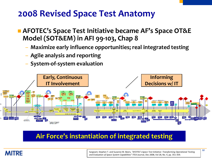### **2008 Revised Space Test Anatomy**

- **AFOTEC's Space Test Initiative became AF's Space OT&E Model (SOT&EM) in AFI 99-103, Chap 8**
	- **Maximize early influence opportunities; real integrated testing**
	- **Agile analysis and reporting**
	- **System-of-system evaluation**



#### **Air Force's instantiation of integrated testing**

#### **MITRE**

Sargeant, Stephen T. and Suzanne M. Beers*, "AFOTEC's Space Test Initiative: Transforming Operational Testing and Evaluation of Space System Capabilities"* ITEA Journal, Dec 2008, Vol 28, No. 4, pp. 351-359.

**12**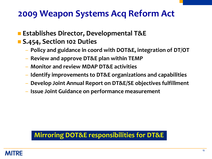### **2009 Weapon Systems Acq Reform Act**

- **Establishes Director, Developmental T&E**
- **S.454, Section 102 Duties**
	- **Policy and guidance in coord with DOT&E, integration of DT/OT**
	- **Review and approve DT&E plan within TEMP**
	- **Monitor and review MDAP DT&E activities**
	- **Identify improvements to DT&E organizations and capabilities**
	- **Develop Joint Annual Report on DT&E/SE objectives fulfillment**
	- **Issue Joint Guidance on performance measurement**

#### **Mirroring DOT&E responsibilities for DT&E**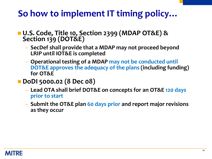# **So how to implement IT timing policy…**

- **U.S. Code, Title 10, Section 2399 (MDAP OT&E) & Section 139 (DOT&E)**
	- **SecDef shall provide that a MDAP may not proceed beyond LRIP until IOT&E is completed**
	- **Operational testing of a MDAP may not be conducted until DOT&E approves the adequacy of the plans (including funding) for OT&E**
- **DoDI 5000.02 (8 Dec 08)**
	- **Lead OTA shall brief DOT&E on concepts for an OT&E 120 days prior to start**
	- **Submit the OT&E plan 60 days prior and report major revisions as they occur**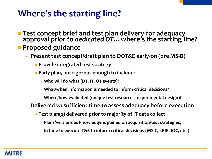# **Where's the starting line?**

- **Test concept brief and test plan delivery for adequacy approval** *prior to dedicated OT***…where's the starting line? Proposed guidance** 
	- **Present test concept/draft plan to DOT&E early-on (pre MS-B)**
		- **Provide integrated test strategy**
		- **Early plan, but rigorous enough to include:**
			- **Who will do what (DT, IT, OT events)?**
			- **What/when information is needed to inform critical decisions?**
			- **Where/how evaluated (unique test resources, experimental design)?**
	- **Delivered w/ sufficient time to assess adequacy before execution**
		- **Test plan(s) delivered prior to majority of IT data collect**
			- **Plans/versions as knowledge is gained on acquisition/test strategies,**
			- **In time to execute T&E to inform critical decisions (MS-C, LRIP, IOC, etc.)**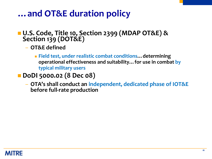### **…and OT&E duration policy**

#### ■ U.S. Code, Title 10, Section 2399 (MDAP OT&E) & **Section 139 (DOT&E)**

- **OT&E defined**
	- **Field test, under realistic combat conditions…determining operational effectiveness and suitability…for use in combat by typical military users**
- **DoDI 5000.02 (8 Dec 08)**
	- **OTA's shall conduct an independent, dedicated phase of IOT&E before full-rate production**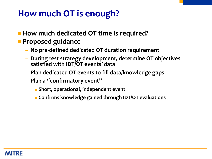# **How much OT is enough?**

- **How much dedicated OT time is required?**
- **Proposed guidance** 
	- **No pre-defined dedicated OT duration requirement**
	- **During test strategy development, determine OT objectives satisfied with IDT/OT events' data**
	- **Plan dedicated OT events to fill data/knowledge gaps**
	- **Plan a "confirmatory event"** 
		- **Short, operational, independent event**
		- **Confirms knowledge gained through IDT/OT evaluations**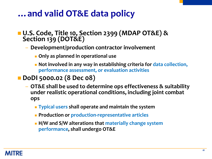### **…and valid OT&E data policy**

#### **U.S. Code, Title 10, Section 2399 (MDAP OT&E) & Section 139 (DOT&E)**

- **Development/production contractor involvement**
	- **Only as planned in operational use**
	- **Not involved in any way in establishing criteria for data collection, performance assessment, or evaluation activities**

#### **DoDI 5000.02 (8 Dec 08)**

- **OT&E shall be used to determine ops effectiveness & suitability under realistic operational conditions, including joint combat ops**
	- **Typical users shall operate and maintain the system**
	- **Production or production-representative articles**
	- **H/W and S/W alterations that materially change system performance, shall undergo OT&E**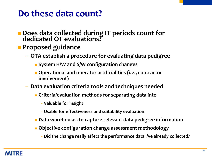### **Do these data count?**

- **Does data collected during IT periods count for dedicated OT evaluations?**
- **Proposed guidance** 
	- **OTA establish a procedure for evaluating data pedigree**
		- **System H/W and S/W configuration changes**
		- **Operational and operator artificialities (i.e., contractor involvement)**
	- **Data evaluation criteria tools and techniques needed**
		- **Criteria/evaluation methods for separating data into** 
			- **Valuable for insight**
			- **Usable for effectiveness and suitability evaluation**
		- **Data warehouses to capture relevant data pedigree information**
		- **Objective configuration change assessment methodology**
			- **Did the change really affect the performance data I've already collected?**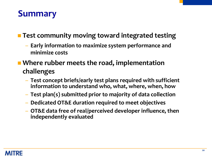### **Summary**

#### **Test community moving toward integrated testing**

- **Early information to maximize system performance and minimize costs**
- **Where rubber meets the road, implementation challenges**
	- **Test concept briefs/early test plans required with sufficient information to understand who, what, where, when, how**
	- **Test plan(s) submitted prior to majority of data collection**
	- **Dedicated OT&E duration required to meet objectives**
	- **OT&E data free of real/perceived developer influence, then independently evaluated**